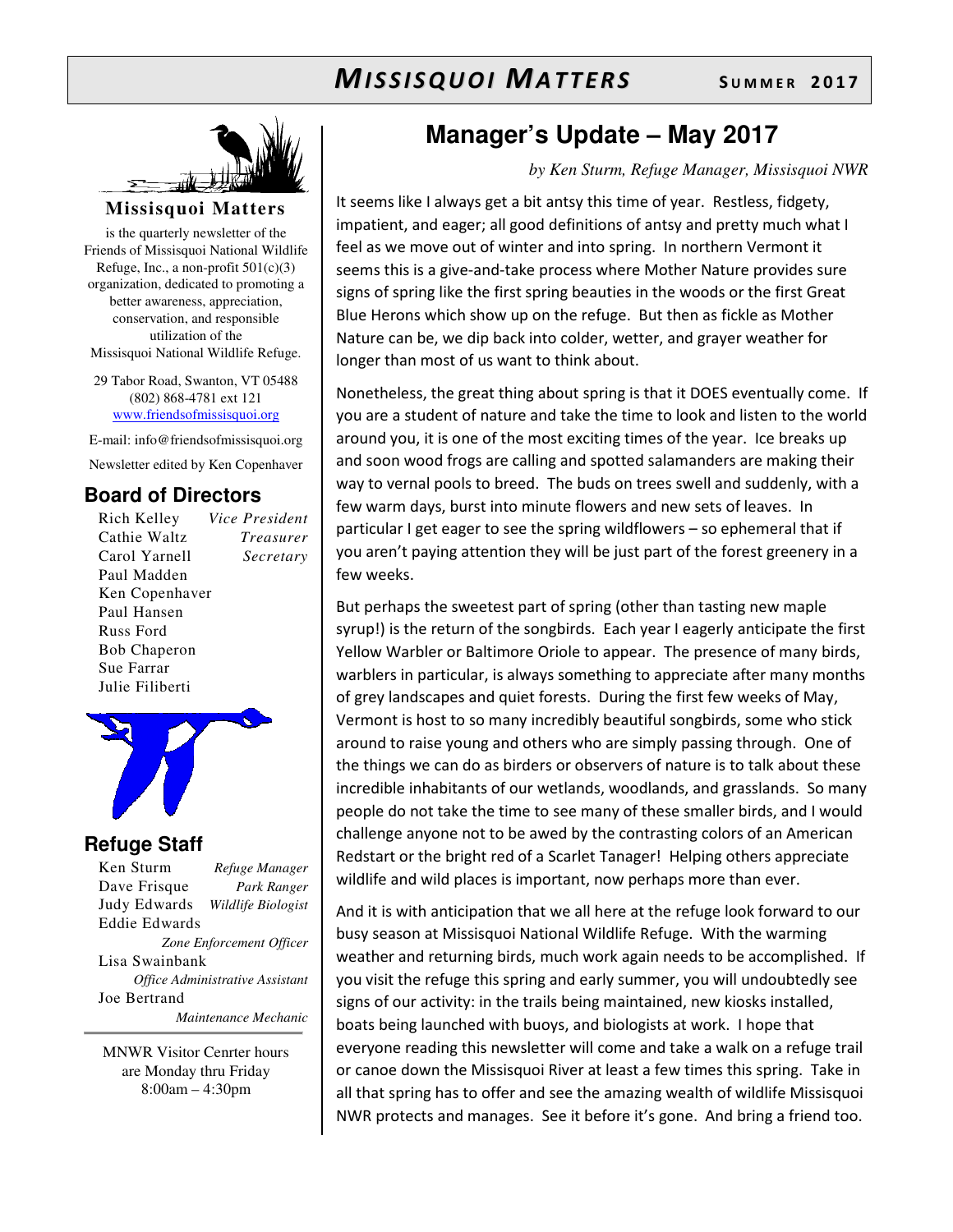# $M$ *ISSISQUOI MATTERS* SUMMER 2017



#### **Missisquoi Matters**

is the quarterly newsletter of the Friends of Missisquoi National Wildlife Refuge, Inc., a non-profit  $501(c)(3)$ organization, dedicated to promoting a better awareness, appreciation, conservation, and responsible utilization of the Missisquoi National Wildlife Refuge.

29 Tabor Road, Swanton, VT 05488 (802) 868-4781 ext 121 www.friendsofmissisquoi.org

E-mail: info@friendsofmissisquoi.org

Newsletter edited by Ken Copenhaver

### **Board of Directors**

Rich Kelley *Vice President* Cathie Waltz *Treasurer* Carol Yarnell *Secretary*  Paul Madden Ken Copenhaver Paul Hansen Russ Ford Bob Chaperon Sue Farrar Julie Filiberti



#### **Refuge Staff**

Ken Sturm *Refuge Manager* Dave Frisque *Park Ranger* Judy Edwards *Wildlife Biologist* Eddie Edwards *Zone Enforcement Officer* Lisa Swainbank *Office Administrative Assistant*  Joe Bertrand  *Maintenance Mechanic*

MNWR Visitor Cenrter hours are Monday thru Friday 8:00am – 4:30pm

# **Manager's Update – May 2017**

#### *by Ken Sturm, Refuge Manager, Missisquoi NWR*

It seems like I always get a bit antsy this time of year. Restless, fidgety, impatient, and eager; all good definitions of antsy and pretty much what I feel as we move out of winter and into spring. In northern Vermont it seems this is a give-and-take process where Mother Nature provides sure signs of spring like the first spring beauties in the woods or the first Great Blue Herons which show up on the refuge. But then as fickle as Mother Nature can be, we dip back into colder, wetter, and grayer weather for longer than most of us want to think about.

Nonetheless, the great thing about spring is that it DOES eventually come. If you are a student of nature and take the time to look and listen to the world around you, it is one of the most exciting times of the year. Ice breaks up and soon wood frogs are calling and spotted salamanders are making their way to vernal pools to breed. The buds on trees swell and suddenly, with a few warm days, burst into minute flowers and new sets of leaves. In particular I get eager to see the spring wildflowers – so ephemeral that if you aren't paying attention they will be just part of the forest greenery in a few weeks.

But perhaps the sweetest part of spring (other than tasting new maple syrup!) is the return of the songbirds. Each year I eagerly anticipate the first Yellow Warbler or Baltimore Oriole to appear. The presence of many birds, warblers in particular, is always something to appreciate after many months of grey landscapes and quiet forests. During the first few weeks of May, Vermont is host to so many incredibly beautiful songbirds, some who stick around to raise young and others who are simply passing through. One of the things we can do as birders or observers of nature is to talk about these incredible inhabitants of our wetlands, woodlands, and grasslands. So many people do not take the time to see many of these smaller birds, and I would challenge anyone not to be awed by the contrasting colors of an American Redstart or the bright red of a Scarlet Tanager! Helping others appreciate wildlife and wild places is important, now perhaps more than ever.

And it is with anticipation that we all here at the refuge look forward to our busy season at Missisquoi National Wildlife Refuge. With the warming weather and returning birds, much work again needs to be accomplished. If you visit the refuge this spring and early summer, you will undoubtedly see signs of our activity: in the trails being maintained, new kiosks installed, boats being launched with buoys, and biologists at work. I hope that everyone reading this newsletter will come and take a walk on a refuge trail or canoe down the Missisquoi River at least a few times this spring. Take in all that spring has to offer and see the amazing wealth of wildlife Missisquoi NWR protects and manages. See it before it's gone. And bring a friend too.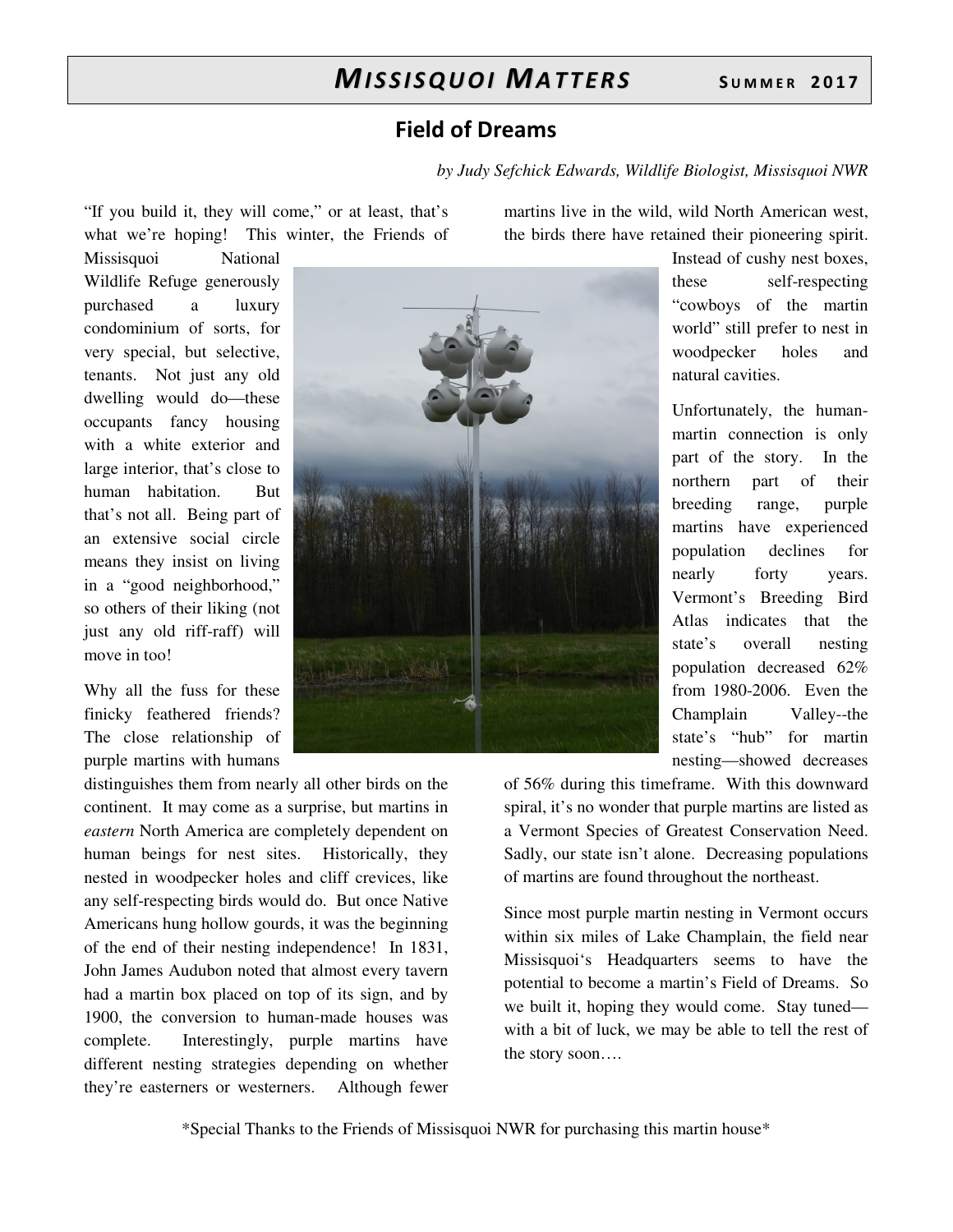### **Field of Dreams**

*by Judy Sefchick Edwards, Wildlife Biologist, Missisquoi NWR*

"If you build it, they will come," or at least, that's what we're hoping! This winter, the Friends of

Missisquoi National Wildlife Refuge generously purchased a luxury condominium of sorts, for very special, but selective, tenants. Not just any old dwelling would do—these occupants fancy housing with a white exterior and large interior, that's close to human habitation. But that's not all. Being part of an extensive social circle means they insist on living in a "good neighborhood," so others of their liking (not just any old riff-raff) will move in too!

Why all the fuss for these finicky feathered friends? The close relationship of purple martins with humans

distinguishes them from nearly all other birds on the continent. It may come as a surprise, but martins in *eastern* North America are completely dependent on human beings for nest sites. Historically, they nested in woodpecker holes and cliff crevices, like any self-respecting birds would do. But once Native Americans hung hollow gourds, it was the beginning of the end of their nesting independence! In 1831, John James Audubon noted that almost every tavern had a martin box placed on top of its sign, and by 1900, the conversion to human-made houses was complete. Interestingly, purple martins have different nesting strategies depending on whether they're easterners or westerners. Although fewer

martins live in the wild, wild North American west, the birds there have retained their pioneering spirit.

> Instead of cushy nest boxes, these self-respecting "cowboys of the martin world" still prefer to nest in woodpecker holes and natural cavities.

> Unfortunately, the humanmartin connection is only part of the story. In the northern part of their breeding range, purple martins have experienced population declines for nearly forty years. Vermont's Breeding Bird Atlas indicates that the state's overall nesting population decreased 62% from 1980-2006. Even the Champlain Valley--the state's "hub" for martin nesting—showed decreases

of 56% during this timeframe. With this downward spiral, it's no wonder that purple martins are listed as a Vermont Species of Greatest Conservation Need. Sadly, our state isn't alone. Decreasing populations of martins are found throughout the northeast.

Since most purple martin nesting in Vermont occurs within six miles of Lake Champlain, the field near Missisquoi's Headquarters seems to have the potential to become a martin's Field of Dreams. So we built it, hoping they would come. Stay tuned with a bit of luck, we may be able to tell the rest of the story soon….

\*Special Thanks to the Friends of Missisquoi NWR for purchasing this martin house\*

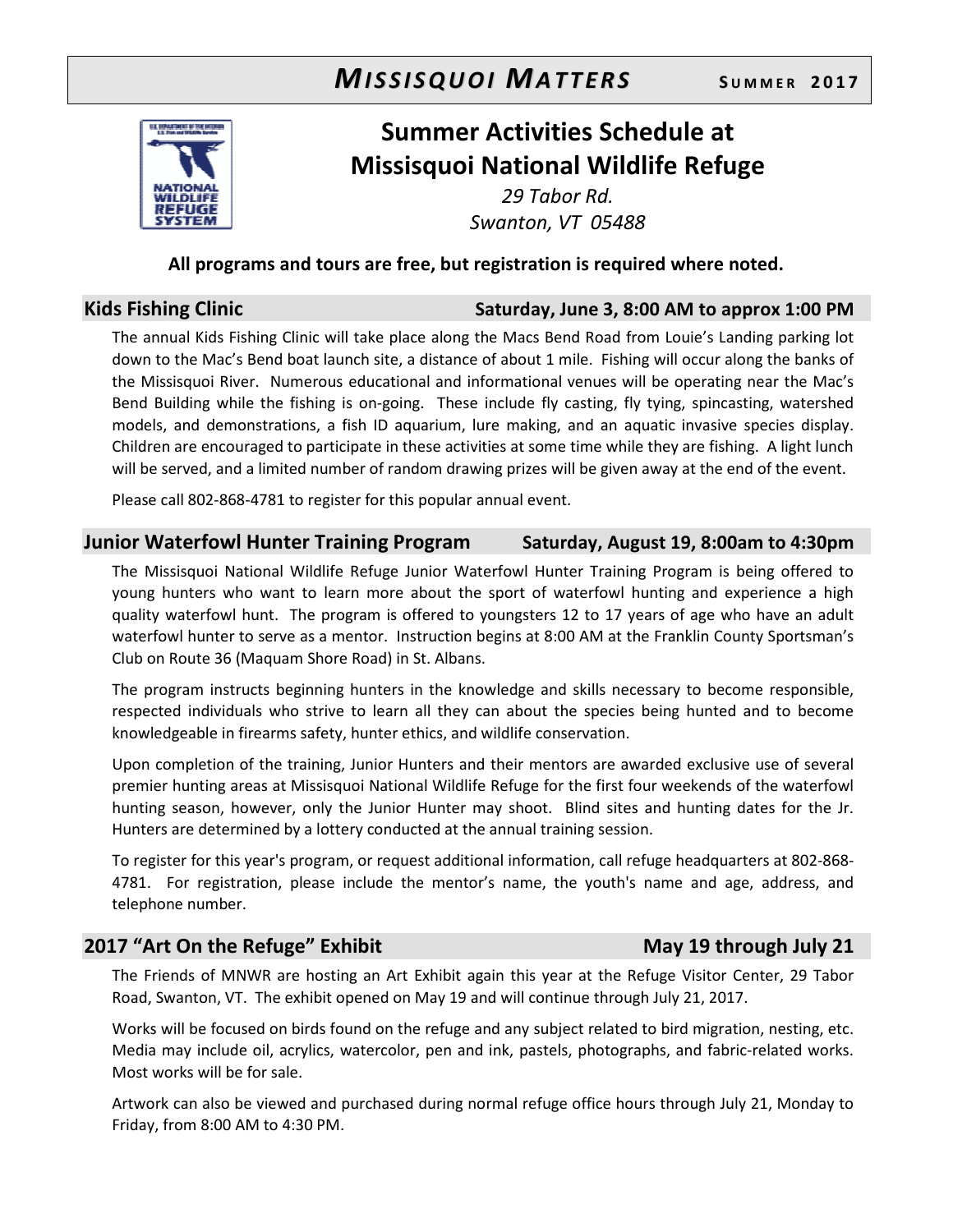# $M$ *ISSISQUOI MATTERS* SUMMER 2017



# **Summer Activities Schedule at Missisquoi National Wildlife Refuge**

*29 Tabor Rd. Swanton, VT 05488* 

#### **All programs and tours are free, but registration is required where noted.**

### **Kids Fishing Clinic Saturday, June 3, 8:00 AM to approx 1:00 PM**

The annual Kids Fishing Clinic will take place along the Macs Bend Road from Louie's Landing parking lot down to the Mac's Bend boat launch site, a distance of about 1 mile. Fishing will occur along the banks of the Missisquoi River. Numerous educational and informational venues will be operating near the Mac's Bend Building while the fishing is on-going. These include fly casting, fly tying, spincasting, watershed models, and demonstrations, a fish ID aquarium, lure making, and an aquatic invasive species display. Children are encouraged to participate in these activities at some time while they are fishing. A light lunch will be served, and a limited number of random drawing prizes will be given away at the end of the event.

Please call 802-868-4781 to register for this popular annual event.

#### **Junior Waterfowl Hunter Training Program Saturday, August 19, 8:00am to 4:30pm**

The Missisquoi National Wildlife Refuge Junior Waterfowl Hunter Training Program is being offered to young hunters who want to learn more about the sport of waterfowl hunting and experience a high quality waterfowl hunt. The program is offered to youngsters 12 to 17 years of age who have an adult waterfowl hunter to serve as a mentor. Instruction begins at 8:00 AM at the Franklin County Sportsman's Club on Route 36 (Maquam Shore Road) in St. Albans.

The program instructs beginning hunters in the knowledge and skills necessary to become responsible, respected individuals who strive to learn all they can about the species being hunted and to become knowledgeable in firearms safety, hunter ethics, and wildlife conservation.

Upon completion of the training, Junior Hunters and their mentors are awarded exclusive use of several premier hunting areas at Missisquoi National Wildlife Refuge for the first four weekends of the waterfowl hunting season, however, only the Junior Hunter may shoot. Blind sites and hunting dates for the Jr. Hunters are determined by a lottery conducted at the annual training session.

To register for this year's program, or request additional information, call refuge headquarters at 802-868- 4781. For registration, please include the mentor's name, the youth's name and age, address, and telephone number.

### **2017 "Art On the Refuge" Exhibit May 19 through July 21**

The Friends of MNWR are hosting an Art Exhibit again this year at the Refuge Visitor Center, 29 Tabor Road, Swanton, VT. The exhibit opened on May 19 and will continue through July 21, 2017.

Works will be focused on birds found on the refuge and any subject related to bird migration, nesting, etc. Media may include oil, acrylics, watercolor, pen and ink, pastels, photographs, and fabric-related works. Most works will be for sale.

Artwork can also be viewed and purchased during normal refuge office hours through July 21, Monday to Friday, from 8:00 AM to 4:30 PM.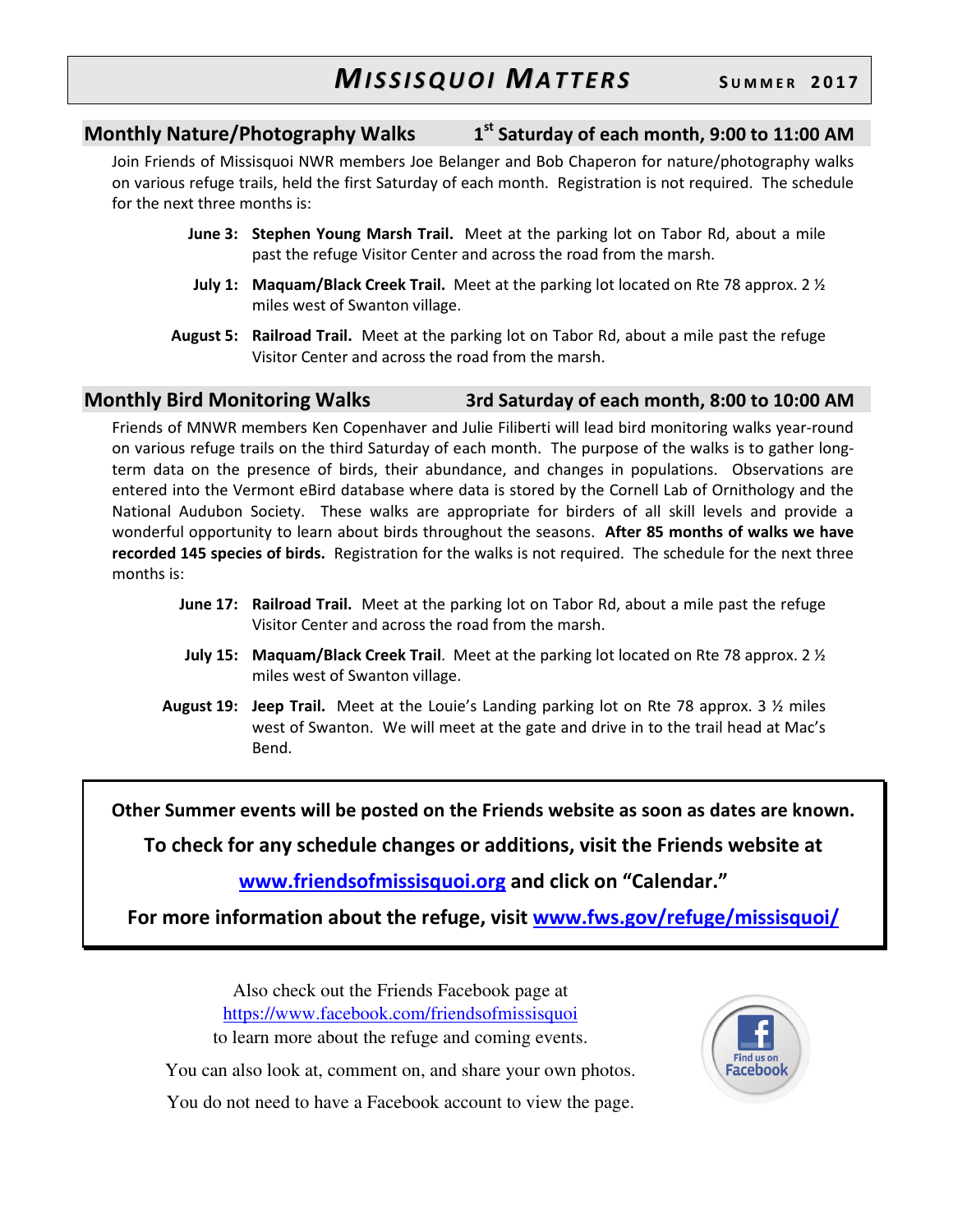#### **Monthly Nature/Photography Walks 1 st Saturday of each month, 9:00 to 11:00 AM**

Join Friends of Missisquoi NWR members Joe Belanger and Bob Chaperon for nature/photography walks on various refuge trails, held the first Saturday of each month. Registration is not required. The schedule for the next three months is:

- **June 3: Stephen Young Marsh Trail.** Meet at the parking lot on Tabor Rd, about a mile past the refuge Visitor Center and across the road from the marsh.
- **July 1: Maquam/Black Creek Trail.** Meet at the parking lot located on Rte 78 approx. 2 ½ miles west of Swanton village.
- **August 5: Railroad Trail.** Meet at the parking lot on Tabor Rd, about a mile past the refuge Visitor Center and across the road from the marsh.

#### **Monthly Bird Monitoring Walks 3rd Saturday of each month, 8:00 to 10:00 AM**

Friends of MNWR members Ken Copenhaver and Julie Filiberti will lead bird monitoring walks year-round on various refuge trails on the third Saturday of each month. The purpose of the walks is to gather longterm data on the presence of birds, their abundance, and changes in populations. Observations are entered into the Vermont eBird database where data is stored by the Cornell Lab of Ornithology and the National Audubon Society. These walks are appropriate for birders of all skill levels and provide a wonderful opportunity to learn about birds throughout the seasons. **After 85 months of walks we have recorded 145 species of birds.** Registration for the walks is not required. The schedule for the next three months is:

- **June 17: Railroad Trail.** Meet at the parking lot on Tabor Rd, about a mile past the refuge Visitor Center and across the road from the marsh.
- **July 15: Maquam/Black Creek Trail**. Meet at the parking lot located on Rte 78 approx. 2 ½ miles west of Swanton village.
- **August 19: Jeep Trail.** Meet at the Louie's Landing parking lot on Rte 78 approx. 3 ½ miles west of Swanton. We will meet at the gate and drive in to the trail head at Mac's Bend.

**Other Summer events will be posted on the Friends website as soon as dates are known.** 

**To check for any schedule changes or additions, visit the Friends website at** 

#### **www.friendsofmissisquoi.org and click on "Calendar."**

**For more information about the refuge, visit www.fws.gov/refuge/missisquoi/**

Also check out the Friends Facebook page at https://www.facebook.com/friendsofmissisquoi to learn more about the refuge and coming events.



You can also look at, comment on, and share your own photos.

You do not need to have a Facebook account to view the page.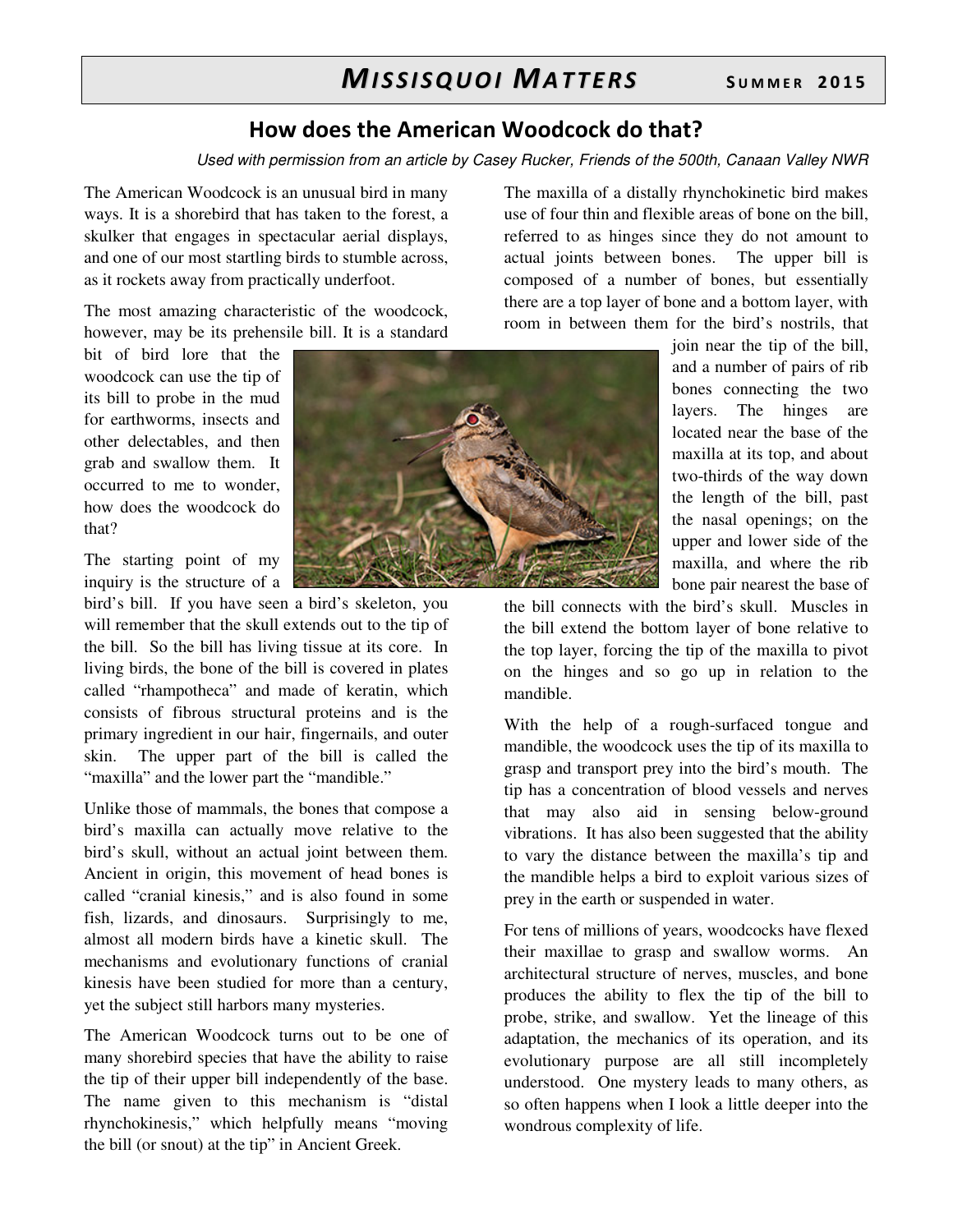### **How does the American Woodcock do that?**

*Used with permission from an article by Casey Rucker, Friends of the 500th, Canaan Valley NWR* 

The American Woodcock is an unusual bird in many ways. It is a shorebird that has taken to the forest, a skulker that engages in spectacular aerial displays, and one of our most startling birds to stumble across, as it rockets away from practically underfoot.

The most amazing characteristic of the woodcock, however, may be its prehensile bill. It is a standard

bit of bird lore that the woodcock can use the tip of its bill to probe in the mud for earthworms, insects and other delectables, and then grab and swallow them. It occurred to me to wonder, how does the woodcock do that?

The starting point of my inquiry is the structure of a

bird's bill. If you have seen a bird's skeleton, you will remember that the skull extends out to the tip of the bill. So the bill has living tissue at its core. In living birds, the bone of the bill is covered in plates called "rhampotheca" and made of keratin, which consists of fibrous structural proteins and is the primary ingredient in our hair, fingernails, and outer skin. The upper part of the bill is called the "maxilla" and the lower part the "mandible."

Unlike those of mammals, the bones that compose a bird's maxilla can actually move relative to the bird's skull, without an actual joint between them. Ancient in origin, this movement of head bones is called "cranial kinesis," and is also found in some fish, lizards, and dinosaurs. Surprisingly to me, almost all modern birds have a kinetic skull. The mechanisms and evolutionary functions of cranial kinesis have been studied for more than a century, yet the subject still harbors many mysteries.

The American Woodcock turns out to be one of many shorebird species that have the ability to raise the tip of their upper bill independently of the base. The name given to this mechanism is "distal rhynchokinesis," which helpfully means "moving the bill (or snout) at the tip" in Ancient Greek.



The maxilla of a distally rhynchokinetic bird makes use of four thin and flexible areas of bone on the bill, referred to as hinges since they do not amount to actual joints between bones. The upper bill is composed of a number of bones, but essentially there are a top layer of bone and a bottom layer, with room in between them for the bird's nostrils, that

> join near the tip of the bill, and a number of pairs of rib bones connecting the two layers. The hinges are located near the base of the maxilla at its top, and about two-thirds of the way down the length of the bill, past the nasal openings; on the upper and lower side of the maxilla, and where the rib bone pair nearest the base of

the bill connects with the bird's skull. Muscles in the bill extend the bottom layer of bone relative to the top layer, forcing the tip of the maxilla to pivot on the hinges and so go up in relation to the mandible.

With the help of a rough-surfaced tongue and mandible, the woodcock uses the tip of its maxilla to grasp and transport prey into the bird's mouth. The tip has a concentration of blood vessels and nerves that may also aid in sensing below-ground vibrations. It has also been suggested that the ability to vary the distance between the maxilla's tip and the mandible helps a bird to exploit various sizes of prey in the earth or suspended in water.

For tens of millions of years, woodcocks have flexed their maxillae to grasp and swallow worms. An architectural structure of nerves, muscles, and bone produces the ability to flex the tip of the bill to probe, strike, and swallow. Yet the lineage of this adaptation, the mechanics of its operation, and its evolutionary purpose are all still incompletely understood. One mystery leads to many others, as so often happens when I look a little deeper into the wondrous complexity of life.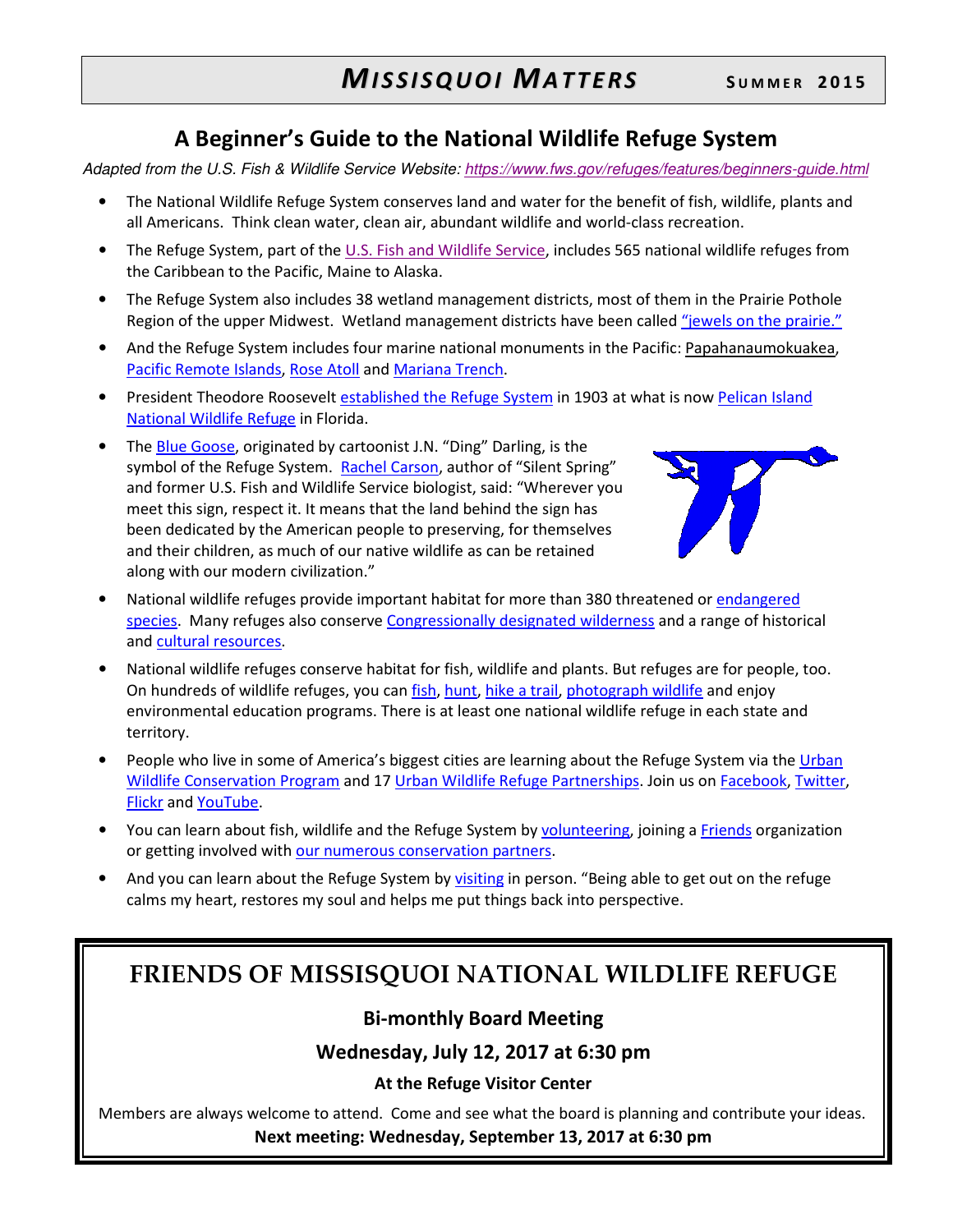# **A Beginner's Guide to the National Wildlife Refuge System**

*Adapted from the U.S. Fish & Wildlife Service Website: https://www.fws.gov/refuges/features/beginners-guide.html*

- The National Wildlife Refuge System conserves land and water for the benefit of fish, wildlife, plants and all Americans. Think clean water, clean air, abundant wildlife and world-class recreation.
- The Refuge System, part of the U.S. Fish and Wildlife Service, includes 565 national wildlife refuges from the Caribbean to the Pacific, Maine to Alaska.
- The Refuge System also includes 38 wetland management districts, most of them in the Prairie Pothole Region of the upper Midwest. Wetland management districts have been called "jewels on the prairie."
- And the Refuge System includes four marine national monuments in the Pacific: Papahanaumokuakea, Pacific Remote Islands, Rose Atoll and Mariana Trench.
- President Theodore Roosevelt established the Refuge System in 1903 at what is now Pelican Island National Wildlife Refuge in Florida.
- The Blue Goose, originated by cartoonist J.N. "Ding" Darling, is the symbol of the Refuge System. Rachel Carson, author of "Silent Spring" and former U.S. Fish and Wildlife Service biologist, said: "Wherever you meet this sign, respect it. It means that the land behind the sign has been dedicated by the American people to preserving, for themselves and their children, as much of our native wildlife as can be retained along with our modern civilization."



- National wildlife refuges provide important habitat for more than 380 threatened or endangered species. Many refuges also conserve Congressionally designated wilderness and a range of historical and cultural resources.
- National wildlife refuges conserve habitat for fish, wildlife and plants. But refuges are for people, too. On hundreds of wildlife refuges, you can *fish*, hunt, hike a trail, photograph wildlife and enjoy environmental education programs. There is at least one national wildlife refuge in each state and territory.
- People who live in some of America's biggest cities are learning about the Refuge System via the Urban Wildlife Conservation Program and 17 Urban Wildlife Refuge Partnerships. Join us on Facebook, Twitter, Flickr and YouTube.
- You can learn about fish, wildlife and the Refuge System by volunteering, joining a Friends organization or getting involved with our numerous conservation partners.
- And you can learn about the Refuge System by visiting in person. "Being able to get out on the refuge calms my heart, restores my soul and helps me put things back into perspective.

# **FRIENDS OF MISSISQUOI NATIONAL WILDLIFE REFUGE**

### **Bi-monthly Board Meeting**

#### **Wednesday, July 12, 2017 at 6:30 pm**

#### **At the Refuge Visitor Center**

Members are always welcome to attend. Come and see what the board is planning and contribute your ideas. **Next meeting: Wednesday, September 13, 2017 at 6:30 pm**